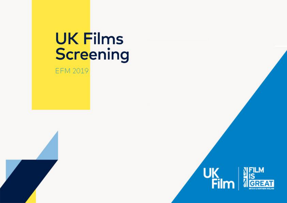## **UK Films** Screening

EFM 2019

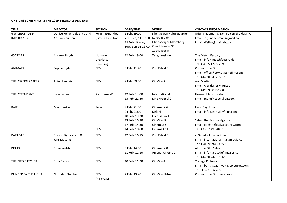## **UK FILMS SCREENING AT THE 2019 BERLINALE AND EFM**

| <b>TITLE</b>                | <b>DIRECTOR</b>              | <b>SECTION</b>    | DATE/TIME                              | <b>VENUE</b>                | <b>CONTACT INFORMATION</b>               |
|-----------------------------|------------------------------|-------------------|----------------------------------------|-----------------------------|------------------------------------------|
| <b>4 WATERS - DEEP</b>      | Denise Ferreira da Silva and | Forum Expanded    | 6 Feb, 19:00                           | silent green Kulturquartier | Arjuna Neuman & Denise Ferreira da Silva |
| <b>IMPLICANCY</b>           | Arjuna Neuman                | (Group Exhbition) | 7-17 Feb, 11-19.00                     | Luxoom Lab                  | Email: arjunaneuman@gmail.com            |
|                             |                              |                   | 19 Feb - 9 Mar,                        | Ebensperger Rhomberg        | Email: dfsilva@mail.ubc.ca               |
|                             |                              |                   | Tues-Sun 14-19.00                      | Gerichtstraße 35,           |                                          |
|                             |                              |                   |                                        | 13347 Berlin                |                                          |
| 45 YEARS                    | Andrew Haigh                 | Homage            | 12 Feb, 19:00                          | Zeughauskino                | The Match Factory                        |
|                             |                              | Charlotte         |                                        |                             | Email: info@matchfactory.de              |
|                             |                              | Rampling          |                                        |                             | Tel: +49 221 539 7090                    |
| <b>ANIMALS</b>              | Sophie Hyde                  | EFM               | 8 Feb, 11:20                           | Zoo Palast 3                | <b>Cornerstone Films</b>                 |
|                             |                              |                   |                                        |                             | Email: office@cornerstonefilm.com        |
|                             |                              |                   |                                        |                             | Tel: +44 203 457 7257                    |
| THE ASPERN PAPERS           | Julien Landais               | EFM               | 9 Feb, 09:30                           | CineStar2                   | Arri Media                               |
|                             |                              |                   |                                        |                             | Email: worldsales@arri.de                |
|                             |                              |                   |                                        |                             | Tel: +49 89 380 912 88                   |
| THE ATTENDANT               | Isaac Julien                 | Panorama 40       | 12 Feb, 14:00                          | International               | Normal Films, London                     |
|                             |                              |                   | 13 Feb, 22:30                          | Kino Arsenal 2              | Email: mark@isaacjulien.com              |
| <b>BAIT</b>                 | Mark Jenkin                  | Forum             | 8 Feb, 21:30                           | CinemaxX 6                  | Early Day Films                          |
|                             |                              |                   | 9 Feb, 21:00                           | Delphi                      | Email: info@earlydayfilms.com            |
|                             |                              |                   | 10 Feb, 19:30                          | Colosseum 1                 |                                          |
|                             |                              |                   | 13 Feb, 16:30                          | CineStar 8                  | Sales: The Festival Agency               |
|                             |                              |                   | 17 Feb, 14:30                          | CinemaX 8                   | Email: ed@thefestivalagency.com          |
|                             |                              | EFM               | 14 Feb, 10:00                          | CinemaX 11                  | Tel: +33 9 549 04863                     |
| <b>BAPTISTE</b>             | Borkur Sigthorsson &         | EFM               | 12 Feb, 16:15                          | Zoo Palast 5                | all3media International                  |
|                             | Jans Matthys                 |                   |                                        |                             | Email: international @all3media.com      |
|                             |                              |                   |                                        |                             | Tel: +44 20 7845 4350                    |
| <b>BEATS</b>                | <b>Brian Welsh</b>           | EFM               | 8 Feb, 14:30                           | CinemaxX 8                  | Altitude Film Sales                      |
|                             |                              |                   | 11 Feb, 11:10                          | Arsenal Cinema 2            | Email: info@altitudefilmsales.com        |
|                             |                              |                   |                                        |                             | Tel: +44 20 7478 7612                    |
| THE BIRD CATCHER            | Ross Clarke                  | EFM               | 10 Feb, 11:30                          | CineStar4                   | <b>Voltage Pictures</b>                  |
|                             |                              |                   | Email: boris.isaac@voltagepictures.com |                             |                                          |
|                             |                              |                   |                                        |                             | Te: +1 323 606 7650                      |
| <b>BLINDED BY THE LIGHT</b> | Gurinder Chadha              | EFM               | 7 Feb, 13:40                           | <b>CineStar IMAX</b>        | Cornerstone Films as above               |
|                             |                              | (no press)        |                                        |                             |                                          |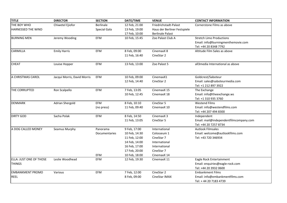| <b>TITLE</b>            | <b>DIRECTOR</b>             | <b>SECTION</b>       | DATE/TIME     | <b>VENUE</b>                 | <b>CONTACT INFORMATION</b>             |
|-------------------------|-----------------------------|----------------------|---------------|------------------------------|----------------------------------------|
| THE BOY WHO             | Chiwetel Ejiofor            | <b>Berlinale</b>     | 12 Feb, 21:00 | Friedrichstadt-Palast        | Cornerstone Films as above             |
| HARNESSED THE WIND      |                             | Special Gala         | 13 Feb, 19:00 | Haus der Berliner Festspiele |                                        |
|                         |                             |                      | 17 Feb, 10:00 | <b>Berlinale Palast</b>      |                                        |
| <b>BURNING MEN</b>      | Jeremy Wooding              | EFM                  | 10 Feb, 15:45 | Zoo Palast Club A            | <b>Stretch Limo Productions</b>        |
|                         |                             |                      |               |                              | Email: info@burningmenthemovie.com     |
|                         |                             |                      |               |                              | Tel: +44 20 8348 7792                  |
| <b>CARMILLA</b>         | <b>Emily Harris</b>         | EFM                  | 8 Feb, 09:00  | CinemaxX 8                   | Altitude Film Sales as above           |
|                         |                             |                      | 11 Feb, 16:40 | CineStar 2                   |                                        |
| <b>CHEAT</b>            | Louise Hopper               | EFM                  | 13 Feb, 13:00 | Zoo Palast 5                 | all3media International as above       |
|                         |                             |                      |               |                              |                                        |
| A CHRISTMAS CAROL       | Jacqui Morris, David Morris | EFM                  | 10 Feb, 09:00 | CinemaxX1                    | Goldcrest/Saboteur                     |
|                         |                             |                      | 12 Feb, 14:40 | CineStar 2                   | Email: sales@saboteurmedia.com         |
|                         |                             |                      |               |                              | Tel: +1 212 897 3922                   |
| THE CORRUPTED           | Ron Scalpello               | EFM                  | 7 Feb, 13:05  | CinemaxX 15                  | The Exchange                           |
|                         |                             |                      | 10 Feb, 12:45 | CinemaxX 18                  | Email: info@theexchange.ws             |
|                         |                             |                      |               |                              | Tel: +1 310 935 3760                   |
| <b>DENMARK</b>          | <b>Adrian Shergold</b>      | <b>EFM</b>           | 8 Feb, 10:10  | CineStar 5                   | <b>Westend Films</b>                   |
|                         |                             | (no press)           | 11 Feb, 09:40 | CinemaxX 10                  | Email: info@westendfilms.com           |
|                         |                             |                      |               |                              | Tel: +44 207 494 8300                  |
| <b>DIRTY GOD</b>        | Sacha Polak                 | EFM                  | 8 Feb, 14:50  | CinemaxX 3                   | Independent                            |
|                         |                             |                      | 11 Feb, 13:05 | CineStar 5                   | Email: mail@independentfilmcompany.com |
|                         |                             |                      |               |                              | Tel: +44 20 7257 8734                  |
| A DOG CALLED MONEY      | Seamus Murphy               | Panorama             | 9 Feb, 17:00  | International                | <b>Autlook Filmsales</b>               |
|                         |                             | <b>Documentaries</b> | 10 Feb, 14:30 | Colosseum 1                  | Email: welcome@autlookfilms.com        |
|                         |                             |                      | 11 Feb, 12:00 | CineStar 7                   | Tel: +43 720 346934                    |
|                         |                             |                      | 14 Feb, 14:00 | International                |                                        |
|                         |                             |                      | 16 Feb, 17:00 | International                |                                        |
|                         |                             |                      | 17 Feb, 20:00 | CineStar 7                   |                                        |
|                         |                             | EFM                  | 10 Feb, 18:00 | CinemaxX 14                  |                                        |
| ELLA: JUST ONE OF THOSE | Leslie Woodhead             | EFM                  | 12 Feb, 19:30 | CinemaxX 11                  | Eagle Rock Entertainment               |
| <b>THINGS</b>           |                             |                      |               |                              | Email: enquiries@eagle-rock.com        |
|                         |                             |                      |               |                              | Tel: +44 20 3932 0600                  |
| <b>EMBANKMENT PROMO</b> | Various                     | EFM                  | 7 Feb, 12:00  | CineStar 2                   | <b>Embankment Films</b>                |
| <b>REEL</b>             |                             |                      | 8 Feb, 09:00  | CineStar IMAX                | Email: info@embankmentfilms.com        |
|                         |                             |                      |               |                              | Tel: +44 20 7183 4739                  |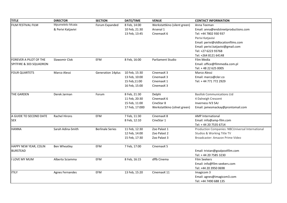| <b>TITLE</b>            | <b>DIRECTOR</b>        | <b>SECTION</b>          | DATE/TIME             | <b>VENUE</b>                 | <b>CONTACT INFORMATION</b>                       |
|-------------------------|------------------------|-------------------------|-----------------------|------------------------------|--------------------------------------------------|
| FILM FESTIVAL FILM      | Mpumelelo Mcata        | Forum Expanded          | 8 Feb, 14:00          | Werkstattkino (silent green) | Anna Teeman                                      |
|                         | & Perivi Katjavivi     |                         | 10 Feb, 21:30         | Arsenal 1                    | Email: anna@endstreetproductions.com             |
|                         |                        |                         | 13 Feb, 13:45         | CinemaxX 6                   | Tel: +44 7802 930 937                            |
|                         |                        |                         |                       |                              | Perivi Katjavivi                                 |
|                         |                        |                         |                       |                              | Email: perivi@oldlocationfilms.com               |
|                         |                        |                         |                       |                              | Email: perivi.katjavivi@gmail.com                |
|                         |                        |                         |                       |                              | Tel: +27 6223 93768                              |
|                         |                        |                         |                       |                              | Tel: +264 8121 64148                             |
| FOREVER A PILOT OF THE  | Slawomir Clok          | EFM                     | 8 Feb, 16:00          | Parliament Studio            | Film Media                                       |
| SPITFIRE & 303 SQUADRON |                        |                         |                       |                              | Email: office@filmmedia.com.pl                   |
|                         |                        |                         |                       |                              | Tel: +48 22 625 0005                             |
| <b>FOUR QUARTETS</b>    | Marco Alessi           | Generation 14plus       | 10 Feb, 15:30         | CinemaxX 3                   | Marco Alessi                                     |
|                         |                        |                         | 13 Feb, 10:00         | CinemaxX 3                   | Email: marco@cler.co                             |
|                         |                        |                         | 15 Feb, 11:00         | CinemaxX 1                   | Tel: +44 771 772 2929                            |
|                         |                        |                         | 16 Feb, 15:00         | CinemaxX <sub>3</sub>        |                                                  |
| THE GARDEN              | Derek Jarman           | Forum                   | 8 Feb, 21:30          | Delphi                       | <b>Basilisk Communications Ltd</b>               |
|                         |                        |                         | 11 Feb, 20:30         | CinemaxX 6                   | 4 Dalneigh Crescent                              |
|                         |                        |                         | 15 Feb, 11:00         | CineStar 8                   | Inverness IV3 5AJ                                |
|                         |                        |                         | 17 Feb, 17:000        | Werkstattkino (silnet green) | Email: jamesmackay@prontomail.com                |
| A GUIDE TO SECOND DATE  | <b>Rachel Hirons</b>   | EFM                     | 7 Feb, 11:30          | CinemaxX 8                   | <b>AMP</b> International                         |
| <b>SEX</b>              |                        |                         | 8 Feb, 12:10          | CineStar 1                   | Email: info@amp-film.com                         |
|                         |                        |                         |                       |                              | Tel: +44 20 7535 6714                            |
| <b>HANNA</b>            | Sarah Adina-Smith      | <b>Berlinale Series</b> | 11 Feb, 12:30         | Zoo Palast 1                 | Production Companies: NBCUniversal International |
|                         |                        |                         | 12 Feb, 14:00         | Zoo Palast 2                 | Studios & Working Title TV                       |
|                         |                        |                         | 15 Feb, 17:30         | Zoo Palast 3                 | Broadcaster: Amazon Prime Video                  |
| HAPPY NEW YEAR, COLIN   | <b>Ben Wheatley</b>    | EFM                     | 7 Feb, 17:00          | CinemaxX 5                   |                                                  |
| <b>BURSTEAD</b>         |                        |                         |                       |                              | Email: tristan@goalpostfilm.com                  |
|                         |                        |                         | Tel: +44 20 7585 3230 |                              |                                                  |
| LOVE MY MUM             | Alberto Sciamma        | EFM                     | 8 Feb, 16:15          | dffb Cinema                  | Film Seekers                                     |
|                         |                        |                         |                       |                              | Email: info@film-seekers.com                     |
|                         |                        |                         |                       |                              | Tel: +44 20 3950 0698                            |
| <b>ITILY</b>            | <b>Agnes Fernandes</b> | EFM                     | 13 Feb, 15:20         | CinemaxX 11                  | Imagicom 3                                       |
|                         |                        |                         |                       |                              | Email: agnes@imagicom3.com                       |
|                         |                        |                         |                       |                              | Tel: +44 7490 688 135                            |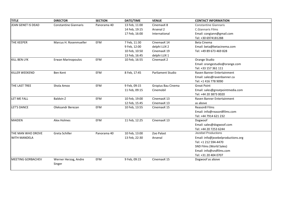| <b>TITLE</b>              | <b>DIRECTOR</b>              | <b>SECTION</b> | DATE/TIME     | <b>VENUE</b>       | <b>CONTACT INFORMATION</b>         |
|---------------------------|------------------------------|----------------|---------------|--------------------|------------------------------------|
| <b>JEAN GENET IS DEAD</b> | <b>Constantine Giannaris</b> | Panorama 40    | 13 Feb, 11:00 | CinemaxX 8         | <b>Constantine Giannaris</b>       |
|                           |                              |                | 14 Feb, 19:15 | Arsenal 2          | <b>C.Giannaris Films</b>           |
|                           |                              |                | 17 Feb, 16:00 | International      | Email: congiann@gmail.com          |
|                           |                              |                |               |                    | Tel: +30 6974181288                |
| <b>THE KEEPER</b>         | Marcus H. Rosenmueller       | EFM            | 7 Feb, 11:30  | CinemaxX 14        | Beta Cinema                        |
|                           |                              |                | 9 Feb, 12:00  | delphi LUX 2       | Email: beta@betacinema.com         |
|                           |                              |                | 10 Feb, 10:50 | CinemaxX 19        | Tel: +49 89 673 469 828            |
|                           |                              |                | 13 Feb, 16:45 | delphi LUX 1       |                                    |
| <b>KILL BEN LYK</b>       | Erwan Marinopoulos           | EFM            | 10 Feb, 16:55 | CinemaxX 2         | Orange Studio                      |
|                           |                              |                |               |                    | Email: orangestudio@orange.com     |
|                           |                              |                |               |                    | Tel: +33 157 361 111               |
| <b>KILLER WEEKEND</b>     | Ben Kent                     | EFM            | 8 Feb, 17:45  | Parliament Studio  | Raven Banner Entertainment         |
|                           |                              |                |               |                    | Email: sales@ravenbanner.ca        |
|                           |                              |                |               |                    | Tel: +1 416 778 9090               |
| THE LAST TREE             | Shola Amoo                   | EFM            | 9 Feb, 09:15  | Gropius Bau Cinema | <b>Great Point</b>                 |
|                           |                              |                | 11 Feb, 09:15 | Cinemobil          | Email: sales@greatpointmedia.com   |
|                           |                              |                |               |                    | Tel: +44 20 3873 0020              |
| LET ME FALL               | <b>Baldvin Z</b>             | EFM            | 10 Feb, 19:00 | CinemaxX 13        | Raven Banner Entertainment         |
|                           |                              |                | 12 Feb, 15:45 | CinemaxX 13        | as above                           |
| LET'S DANCE               | Oleksandr Berezan            | EFM            | 10 Feb, 13:55 | CinemaxX 15        | Reason8 Films                      |
|                           |                              |                |               |                    | Email: info@reason8films.com       |
|                           |                              |                |               |                    | Tel: +44 7914 621 232              |
| <b>MAIDEN</b>             | <b>Alex Holmes</b>           | EFM            | 11 Feb, 12:25 | CinemaxX 13        | Dogwoof                            |
|                           |                              |                |               |                    | Email: sales@dogwoof.com           |
|                           |                              |                |               |                    | Tel: +44 20 7253 6244              |
| THE MAN WHO DROVE         | Greta Schiller               | Panorama 40    | 10 Feb, 13:00 | Zoo Palast         | <b>Jezebel Productions</b>         |
| <b>WITH MANDELA</b>       |                              |                | 13 Feb, 22:30 | Arsenal            | Email: info@jezebelproductions.org |
|                           |                              |                |               |                    | Tel: +1 212 594-4470               |
|                           |                              |                |               |                    | SND Films (World Sales)            |
|                           |                              |                |               |                    | Email: info@sndfilms.com           |
|                           |                              |                |               |                    | Tel: +31 20 404 0707               |
| MEETING GORBACHEV         | Werner Herzog, Andre         | EFM            | 9 Feb, 09:15  | CinemaxX 15        | Dogwoof as above                   |
|                           | Singer                       |                |               |                    |                                    |
|                           |                              |                |               |                    |                                    |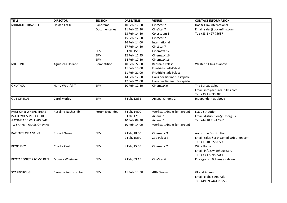| <b>TITLE</b>              | <b>DIRECTOR</b>           | <b>SECTION</b> | DATE/TIME            | <b>VENUE</b>                 | <b>CONTACT INFORMATION</b>             |
|---------------------------|---------------------------|----------------|----------------------|------------------------------|----------------------------------------|
| <b>MIDNIGHT TRAVELLER</b> | Hassan Fazili             | Panorama       | 10 Feb, 17:00        | CineStar 7                   | Doc & Film International               |
|                           |                           | Documentaries  | 11 Feb, 22:30        | CineStar 7                   | Email: sales@docanfilm.com             |
|                           |                           |                | 13 Feb, 14:30        | Colosseum 1                  | Tel: +33 1 427 75687                   |
|                           |                           |                | 15 Feb, 12:00        | CineStar 7                   |                                        |
|                           |                           |                | 16 Feb, 14:00        | International                |                                        |
|                           |                           |                | 17 Feb, 14:30        | CineStar 7                   |                                        |
|                           |                           | EFM            | 9 Feb, 15:00         | CinemaxX 12                  |                                        |
|                           |                           | EFM            | 12 Feb, 12:45        | CinemaxX 16                  |                                        |
|                           |                           | EFM            | 14 Feb, 17:30        | CinemaxX 16                  |                                        |
| MR. JONES                 | Agnieszka Holland         | Competition    | 10 Feb, 22:00        | <b>Berlinale Palast</b>      | Westend Films as above                 |
|                           |                           |                | 11 Feb, 15:00        | Friedrichstadt-Palast        |                                        |
|                           |                           |                | 11 Feb, 21:00        | Friedrichstadt-Palast        |                                        |
|                           |                           |                | 14 Feb, 12:00        | Haus der Berliner Festspiele |                                        |
|                           |                           |                | 17 Feb, 21:00        | Haus der Berliner Festspiele |                                        |
| <b>ONLY YOU</b>           | Harry Wootfcliff          | <b>EFM</b>     | 10 Feb, 12:30        | CinemaxX 9                   | The Bureau Sales                       |
|                           |                           |                |                      |                              | Email: info@lebureaufilms.com          |
|                           |                           |                |                      |                              | Tel: +33 1 4033 380                    |
| <b>OUT OF BLUE</b>        | Carol Morley              | EFM            | 8 Feb, 12:35         | Arsenal Cinema 2             | Independent as above                   |
|                           |                           |                |                      |                              |                                        |
|                           |                           |                |                      |                              |                                        |
| PART ONE: WHERE THERE     | Rosalind Nashashibi       | Forum Expanded | 8 Feb, 14:00         | Werkstattkino (silent green) | Lux Distribution                       |
| IS A JOYOUS MOOD, THERE   |                           |                | 9 Feb, 17:30         | Arsenal 1                    | Email: distribution@lux.org.uk         |
| A COMRADE WILL APPEAR     |                           |                | 10 Feb, 09:30        | Arsenal 1                    | Tel: +44 20 3141 2961                  |
| TO SHARE A GLASS OF WINE  |                           |                | 10 Feb, 14:00        | Werkstattkino (silent green) |                                        |
|                           |                           |                |                      |                              |                                        |
| PATIENTS OF A SAINT       | Russell Owen              | EFM            | 7 Feb, 18:00         | CinemaxX 9                   | Archstone Distribution                 |
|                           |                           |                | 9 Feb, 15:30         | Zoo Palast 3                 | Email: sales@archstonedistribution.com |
|                           |                           |                |                      |                              | Tel: +1 310 622 8773                   |
| <b>PROPHECY</b>           | Charlie Paul              | EFM            | 8 Feb, 15:05         | CinemaxX 2                   | Wide House                             |
|                           |                           |                |                      |                              | Email: info@widehouse.org              |
|                           |                           |                | Tel: +33 1 5395 2441 |                              |                                        |
| PROTAGONIST PROMO REEL    | Mounia Wissinger          | EFM            | 7 Feb, 09:15         | CineStar 6                   | Protagonist Pictures as above          |
|                           |                           |                |                      |                              |                                        |
|                           |                           |                |                      |                              |                                        |
| <b>SCARBOROUGH</b>        | <b>Barnaby Southcombe</b> | <b>EFM</b>     | 11 Feb, 14:50        | dffb Cinema                  | <b>Global Screen</b>                   |
|                           |                           |                |                      |                              | Email: globalscreen.de                 |
|                           |                           |                |                      |                              | Tel: +49 89 2441 295500                |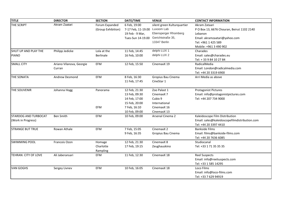| <b>TITLE</b>                | <b>DIRECTOR</b>          | <b>SECTION</b>     | DATE/TIME          | <b>VENUE</b>                | <b>CONTACT INFORMATION</b>                    |
|-----------------------------|--------------------------|--------------------|--------------------|-----------------------------|-----------------------------------------------|
| THE SCRIPT                  | Akram Zaatari            | Forum Expanded     | 6 Feb, 19:00       | silent green Kulturquartier | Akram Zataari                                 |
|                             |                          | (Group Exhibition) | 7-17 Feb, 11-19.00 | Luxoom Lab                  | P O Box 13, 6676 Chouran, Beirut 1102 2140    |
|                             |                          |                    | 19 Feb - 9 Mar,    | Ebensperger Rhomberg        | Lebanon                                       |
|                             |                          |                    | Tues-Sun 14-19.00  | Gerichtstraße 35,           | Email: akramzaatari@yahoo.com                 |
|                             |                          |                    |                    | 13347 Berlin                | Tel: +961 1 425 589                           |
|                             |                          |                    |                    |                             | Mobile: +961 3 490 902                        |
| SHUT UP AND PLAY THE        | Philipp Jedicke          | Lola at the        | 11 Feb, 14:45      | delphi LUX 1                | Charades                                      |
| <b>PIANO</b>                |                          | <b>Berlinale</b>   | 16 Feb, 10:00      | delphi LUX 2                | Email: sales@charades.eu                      |
|                             |                          |                    |                    |                             | Tel: +33984102784                             |
| <b>SMALL CITY</b>           | Ariano Vilanova, Georgie | EFM                | 12 Feb, 15:50      | CinemaxX 19                 | RadicalMedia                                  |
|                             | Curran                   |                    |                    |                             | Email: London@radicalmedia.com                |
|                             |                          |                    |                    |                             | Tel: +44 20 3319 6900                         |
| THE SONATA                  | Andrew Desmond           | EFM                | 8 Feb, 16:30       | Gropius Bau Cinema          | Arri Media as above                           |
|                             |                          |                    | 11 Feb, 17:45      | CineStar 1                  |                                               |
|                             |                          |                    |                    |                             |                                               |
| THE SOUVENIR                | Johanna Hogg             | Panorama           | 12 Feb, 21:30      | Zoo Palast 1                | <b>Protagonist Pictures</b>                   |
|                             |                          |                    | 13 Feb, 09:30      | CinemaxX <sub>7</sub>       | Email: info@protagonistpictures.com           |
|                             |                          |                    | 14 Feb, 17:00      | Cubix 9                     | Tel: +44 207 734 9000                         |
|                             |                          |                    | 15 Feb, 20:00      | International               |                                               |
|                             |                          | <b>EFM</b>         | 7 Feb, 16:10       | CinemaxX 16                 |                                               |
|                             |                          |                    | 10 Feb, 09:00      | CinemaxX 13                 |                                               |
| <b>STARDOG AND TURBOCAT</b> | Ben Smith                | EFM                | 10 Feb, 09:00      | Arsenal Cinema 2            | Kaleidoscope Film Distribution                |
| (Work in Progress)          |                          |                    |                    |                             | Email: sales@kaleidoscopefilmdistribution.com |
|                             |                          |                    |                    |                             | Tel: +44 20 3397 4410                         |
| <b>STRANGE BUT TRUE</b>     | Rowan Athale             | EFM                | 7 Feb, 15:05       | CinemaxX 2                  | <b>Bankside Films</b>                         |
|                             |                          |                    | 9 Feb, 16:35       | Gropius Bau Cinema          | Email: films@bankside-films.com               |
|                             |                          |                    |                    |                             | Tel: +44 20 7636 6085                         |
| <b>SWIMMING POOL</b>        | Francois Ozon            | Homage             | 12 Feb, 21:30      | CinemaxX 8                  | Studiocanal                                   |
|                             |                          | Charlotte          | 17 Feb, 19:15      | Zeughauskino                | Tel: +33 1 71 35 35 35                        |
|                             |                          | Rampling           |                    |                             |                                               |
| TEHRAN: CITY OF LOVE        | Ali Jaberansari          | <b>EFM</b>         | 11 Feb, 12:30      | CinemaxX 18                 | <b>Reel Suspects</b>                          |
|                             |                          |                    |                    |                             | Email: info@reelsuspects.com                  |
|                             |                          |                    |                    |                             | Tel: +33 1 585 14295                          |
| <b>VAN GOGHS</b>            | Sergey Livnev            | EFM                | 10 Feb, 16:05      | CinemaxX 18                 | Loco Films                                    |
|                             |                          |                    |                    |                             | Email: info@loco-films.com                    |
|                             |                          |                    |                    |                             | Tel: +33 7 629 94919                          |